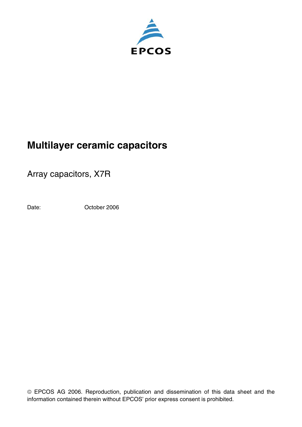

Array capacitors, X7R

Date: **October 2006** 

 $©$  EPCOS AG 2006. Reproduction, publication and dissemination of this data sheet and the information contained therein without EPCOS' prior express consent is prohibited.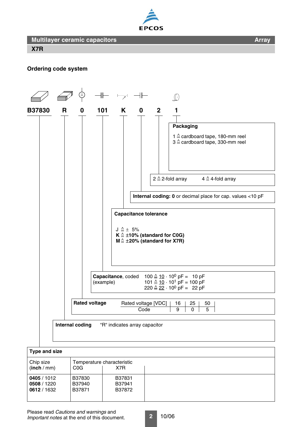



**Array**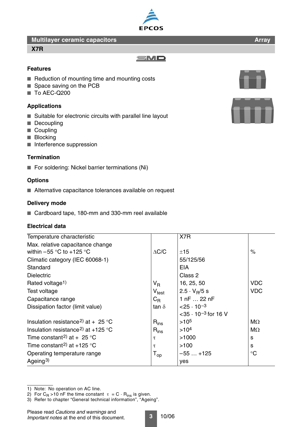#### **X7R**

**Array**



# **Features**

- Reduction of mounting time and mounting costs
- Space saving on the PCB
- To AEC-Q200

#### **Applications**

- Suitable for electronic circuits with parallel line layout
- Decoupling
- Coupling
- Blocking
- Interference suppression

#### **Termination**

■ For soldering: Nickel barrier terminations (Ni)

## **Options**

■ Alternative capacitance tolerances available on request

## **Delivery mode**

■ Cardboard tape, 180-mm and 330-mm reel available

## **Electrical data**

| Temperature characteristic                    |                              | X7R                                      |                 |
|-----------------------------------------------|------------------------------|------------------------------------------|-----------------|
| Max. relative capacitance change              |                              |                                          |                 |
| within $-55$ °C to $+125$ °C                  | $\Delta C/C$                 | ±15                                      | $\%$            |
| Climatic category (IEC 60068-1)               |                              | 55/125/56                                |                 |
| Standard                                      |                              | <b>EIA</b>                               |                 |
| <b>Dielectric</b>                             |                              | Class 2                                  |                 |
| Rated voltage <sup>1)</sup>                   | V <sub>R</sub>               | 16, 25, 50                               | <b>VDC</b>      |
| Test voltage                                  | $\mathsf{V}_{\mathsf{test}}$ | $2.5 \cdot V_B/5 s$                      | <b>VDC</b>      |
| Capacitance range                             | $C_{\mathsf{R}}$             | 1 nF 22 nF                               |                 |
| Dissipation factor (limit value)              | tan $\delta$                 | $< 25 \cdot 10^{-3}$                     |                 |
|                                               |                              | $<$ 35 $\cdot$ 10 <sup>-3</sup> for 16 V |                 |
| Insulation resistance <sup>2</sup> at + 25 °C | $R_{ins}$                    | $>10^{5}$                                | $M\Omega$       |
| Insulation resistance <sup>2</sup> at +125 °C | $R_{ins}$                    | >10 <sup>4</sup>                         | $M\Omega$       |
| Time constant <sup>2)</sup> at + 25 °C        | τ                            | >1000                                    | S               |
| Time constant <sup>2)</sup> at +125 °C        | τ                            | >100                                     | s               |
| Operating temperature range                   | $\mathsf{T}_{\mathsf{op}}$   | $-55+125$                                | $\rm ^{\circ}C$ |
| Ageing <sup>3)</sup>                          |                              | yes                                      |                 |



<sup>2)</sup> For C<sub>R</sub> >10 nF the time constant  $\tau = C \cdot R_{ins}$  is given.

3) Refer to chapter "General technical information", "Ageing".

Please read *Cautions and warnings* and *Important notes* at the end of this document.

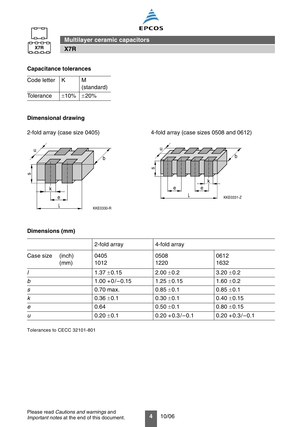



**X7R**

## <span id="page-3-0"></span>**Capacitance tolerances**

| Code letter |      | м<br>(standard) |
|-------------|------|-----------------|
| Tolerance   | ±10% | $ \pm 20\%$     |

# **Dimensional drawing**



2-fold array (case size 0405) 4-fold array (case sizes 0508 and 0612)



# **Dimensions (mm)**

|                             | 2-fold array     | 4-fold array      |                    |
|-----------------------------|------------------|-------------------|--------------------|
| Case size<br>(inch)<br>(mm) | 0405<br>1012     | 0508<br>1220      | 0612<br>1632       |
|                             | $1.37 \pm 0.15$  | $2.00 \pm 0.2$    | $3.20 \pm 0.2$     |
| b                           | $1.00 + 0/-0.15$ | $1.25 \pm 0.15$   | $1.60 \pm 0.2$     |
| S                           | 0.70 max.        | $0.85 \pm 0.1$    | $0.85 \pm 0.1$     |
| $\boldsymbol{k}$            | $0.36 \pm 0.1$   | $0.30 \pm 0.1$    | $0.40 \pm 0.15$    |
| e                           | 0.64             | $0.50 \pm 0.1$    | $0.80 \pm 0.15$    |
| u                           | $0.20 \pm 0.1$   | $0.20 + 0.3/-0.1$ | $0.20 + 0.3/- 0.1$ |

Tolerances to CECC 32101-801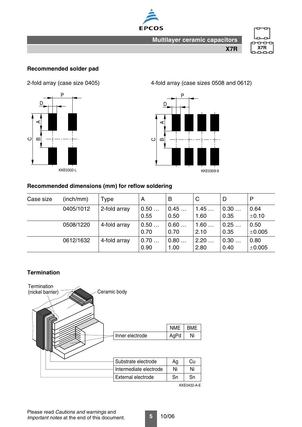



# **Recommended solder pad**



KKE0302-L

2-fold array (case size 0405) 4-fold array (case sizes 0508 and 0612)



# **Recommended dimensions (mm) for reflow soldering**

| Case size | (inch/mm) | Type         | A            | B            | C            | D            | P                   |
|-----------|-----------|--------------|--------------|--------------|--------------|--------------|---------------------|
|           | 0405/1012 | 2-fold array | 0.50<br>0.55 | 0.45<br>0.50 | 1.45<br>1.60 | 0.30<br>0.35 | 0.64<br>±0.10       |
|           | 0508/1220 | 4-fold array | 0.50<br>0.70 | 0.60<br>0.70 | 1.60<br>2.10 | 0.25<br>0.35 | 0.50<br>$\pm 0.005$ |
|           | 0612/1632 | 4-fold array | 0.70<br>0.90 | 0.80<br>1.00 | 2.20<br>2.80 | 0.30<br>0.40 | 0.80<br>$\pm 0.005$ |

## **Termination**



KKE0432-A-E

**5** 10/06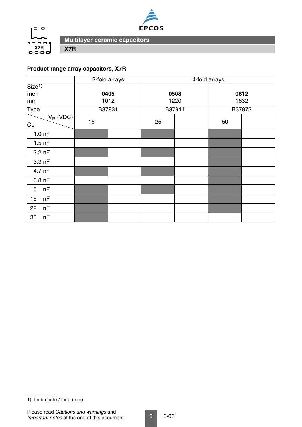



# **Product range array capacitors, X7R**

**X7R**

|                                          |    | 2-fold arrays | $\overline{4}$ -fold arrays |  |        |  |
|------------------------------------------|----|---------------|-----------------------------|--|--------|--|
| Size <sup>1</sup>                        |    |               |                             |  |        |  |
| inch                                     |    | 0405          | 0508                        |  | 0612   |  |
| mm                                       |    | 1012          | 1220                        |  | 1632   |  |
| Type                                     |    | B37831        | B37941                      |  | B37872 |  |
| $V_R$ (VDC)<br>$\mathrm{C}_{\mathrm{R}}$ | 16 |               | 25                          |  | 50     |  |
| 1.0 <sub>nP</sub>                        |    |               |                             |  |        |  |
| $1.5$ nF                                 |    |               |                             |  |        |  |
| $2.2$ nF                                 |    |               |                             |  |        |  |
| 3.3 nF                                   |    |               |                             |  |        |  |
| 4.7 nF                                   |    |               |                             |  |        |  |
| 6.8 nF                                   |    |               |                             |  |        |  |
| nF<br>10                                 |    |               |                             |  |        |  |
| nF<br>15                                 |    |               |                             |  |        |  |
| nF<br>22                                 |    |               |                             |  |        |  |
| nF<br>33                                 |    |               |                             |  |        |  |

<sup>1)</sup>  $1 \times b$  (inch)  $/1 \times b$  (mm)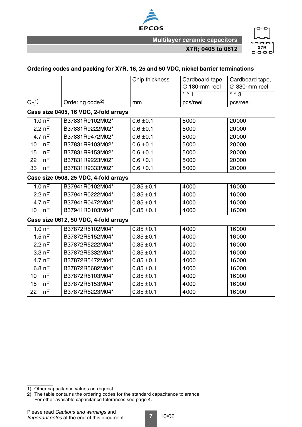

**X7R; 0405 to 0612**



#### **Ordering codes and packing for X7R, 16, 25 and 50 VDC, nickel barrier terminations**

|                      |                   |                                       | Chip thickness | Cardboard tape,           | Cardboard tape,           |
|----------------------|-------------------|---------------------------------------|----------------|---------------------------|---------------------------|
|                      |                   |                                       |                | $\varnothing$ 180-mm reel | $\varnothing$ 330-mm reel |
|                      |                   |                                       |                | $* \triangleq 1$          | * ≙ 3                     |
| $C_{\mathsf{R}}^{1}$ |                   | Ordering code <sup>2)</sup>           | mm             | pcs/reel                  | pcs/reel                  |
|                      |                   | Case size 0405, 16 VDC, 2-fold arrays |                |                           |                           |
|                      | 1.0 <sub>nP</sub> | B37831R9102M02*                       | $0.6 \pm 0.1$  | 5000                      | 20000                     |
|                      | $2.2$ nF          | B37831R9222M02*                       | $0.6 \pm 0.1$  | 5000                      | 20000                     |
|                      | 4.7 nF            | B37831R9472M02*                       | $0.6 \pm 0.1$  | 5000                      | 20000                     |
| 10                   | nF                | B37831R9103M02*                       | $0.6 \pm 0.1$  | 5000                      | 20000                     |
| 15                   | nF                | B37831R9153M02*                       | $0.6 \pm 0.1$  | 5000                      | 20000                     |
| 22                   | nF                | B37831R9223M02*                       | $0.6 \pm 0.1$  | 5000                      | 20000                     |
| 33                   | nF                | B37831R9333M02*                       | $0.6 \pm 0.1$  | 5000                      | 20000                     |
|                      |                   | Case size 0508, 25 VDC, 4-fold arrays |                |                           |                           |
|                      | $1.0h$ F          | B37941R0102M04*                       | $0.85 \pm 0.1$ | 4000                      | 16000                     |
|                      | $2.2$ nF          | B37941R0222M04*                       | $0.85 \pm 0.1$ | 4000                      | 16000                     |
|                      | 4.7 nF            | B37941R0472M04*                       | $0.85 \pm 0.1$ | 4000                      | 16000                     |
| 10 <sub>1</sub>      | nF                | B37941R0103M04*                       | $0.85 \pm 0.1$ | 4000                      | 16000                     |
|                      |                   | Case size 0612, 50 VDC, 4-fold arrays |                |                           |                           |
|                      | $1.0h$ F          | B37872R5102M04*                       | $0.85 \pm 0.1$ | 4000                      | 16000                     |
|                      | $1.5$ nF          | B37872R5152M04*                       | $0.85 \pm 0.1$ | 4000                      | 16000                     |
|                      | $2.2$ nF          | B37872R5222M04*                       | $0.85 \pm 0.1$ | 4000                      | 16000                     |
|                      | 3.3 nF            | B37872R5332M04*                       | $0.85 \pm 0.1$ | 4000                      | 16000                     |
|                      | 4.7 nF            | B37872R5472M04*                       | $0.85 \pm 0.1$ | 4000                      | 16000                     |
|                      | $6.8$ nF          | B37872R5682M04*                       | $0.85 \pm 0.1$ | 4000                      | 16000                     |
| 10                   | nF                | B37872R5103M04*                       | $0.85 \pm 0.1$ | 4000                      | 16000                     |
| 15                   | nF                | B37872R5153M04*                       | $0.85 \pm 0.1$ | 4000                      | 16000                     |
| 22                   | nF                | B37872R5223M04*                       | $0.85 \pm 0.1$ | 4000                      | 16000                     |

1) Other capacitance values on request.

<sup>2)</sup> The table contains the ordering codes for the standard capacitance tolerance. For other available capacitance tolerances [see page 4.](#page-3-0)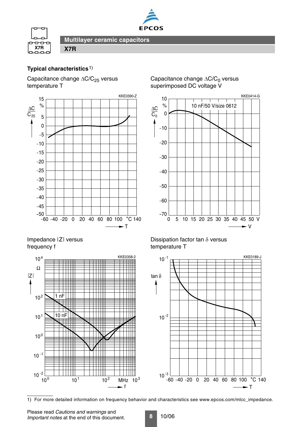



# **Typical characteristics**1)

Capacitance change  $\Delta C/C_{25}$  versus temperature T

**X7R**



# Impedance |Z| versus frequency f



# Capacitance change  $\Delta C/C_0$  versus superimposed DC voltage V



## Dissipation factor tan  $\delta$  versus temperature T



1) For more detailed information on frequency behavior and characteristics see www.epcos.com/mlcc\_impedance.

Please read *Cautions and warnings* and *Important notes* at the end of this document.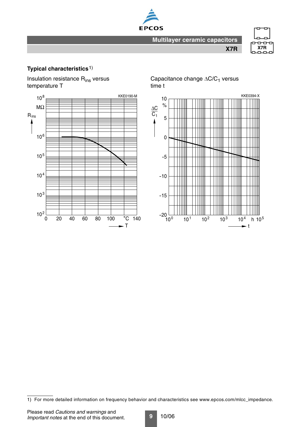



**X7R**

# **Typical characteristics**1)

Insulation resistance Rins versus temperature T



Capacitance change  $\Delta C/C_1$  versus time t



<sup>1)</sup> For more detailed information on frequency behavior and characteristics see www.epcos.com/mlcc\_impedance.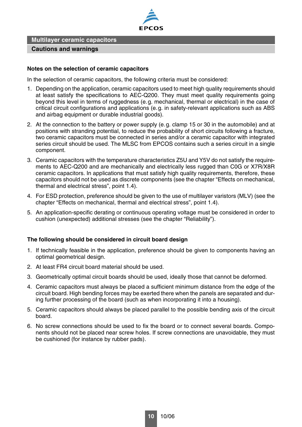

#### **Cautions and warnings**

#### **Notes on the selection of ceramic capacitors**

In the selection of ceramic capacitors, the following criteria must be considered:

- 1. Depending on the application, ceramic capacitors used to meet high quality requirements should at least satisfy the specifications to AEC-Q200. They must meet quality requirements going beyond this level in terms of ruggedness (e.g. mechanical, thermal or electrical) in the case of critical circuit configurations and applications (e.g. in safety-relevant applications such as ABS and airbag equipment or durable industrial goods).
- 2. At the connection to the battery or power supply (e.g. clamp 15 or 30 in the automobile) and at positions with stranding potential, to reduce the probability of short circuits following a fracture, two ceramic capacitors must be connected in series and/or a ceramic capacitor with integrated series circuit should be used. The MLSC from EPCOS contains such a series circuit in a single component.
- 3. Ceramic capacitors with the temperature characteristics Z5U and Y5V do not satisfy the requirements to AEC-Q200 and are mechanically and electrically less rugged than C0G or X7R/X8R ceramic capacitors. In applications that must satisfy high quality requirements, therefore, these capacitors should not be used as discrete components (see the chapter "Effects on mechanical, thermal and electrical stress", point 1.4).
- 4. For ESD protection, preference should be given to the use of multilayer varistors (MLV) (see the chapter "Effects on mechanical, thermal and electrical stress", point 1.4).
- 5. An application-specific derating or continuous operating voltage must be considered in order to cushion (unexpected) additional stresses (see the chapter "Reliability").

#### **The following should be considered in circuit board design**

- 1. If technically feasible in the application, preference should be given to components having an optimal geometrical design.
- 2. At least FR4 circuit board material should be used.
- 3. Geometrically optimal circuit boards should be used, ideally those that cannot be deformed.
- 4. Ceramic capacitors must always be placed a sufficient minimum distance from the edge of the circuit board. High bending forces may be exerted there when the panels are separated and during further processing of the board (such as when incorporating it into a housing).
- 5. Ceramic capacitors should always be placed parallel to the possible bending axis of the circuit board.
- 6. No screw connections should be used to fix the board or to connect several boards. Components should not be placed near screw holes. If screw connections are unavoidable, they must be cushioned (for instance by rubber pads).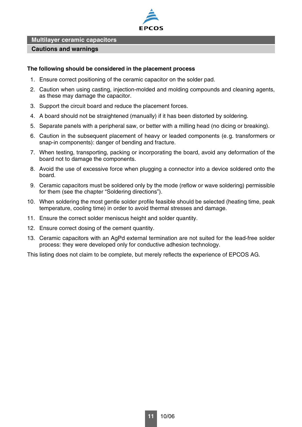

#### **Cautions and warnings**

#### **The following should be considered in the placement process**

- 1. Ensure correct positioning of the ceramic capacitor on the solder pad.
- 2. Caution when using casting, injection-molded and molding compounds and cleaning agents, as these may damage the capacitor.
- 3. Support the circuit board and reduce the placement forces.
- 4. A board should not be straightened (manually) if it has been distorted by soldering.
- 5. Separate panels with a peripheral saw, or better with a milling head (no dicing or breaking).
- 6. Caution in the subsequent placement of heavy or leaded components (e.g. transformers or snap-in components): danger of bending and fracture.
- 7. When testing, transporting, packing or incorporating the board, avoid any deformation of the board not to damage the components.
- 8. Avoid the use of excessive force when plugging a connector into a device soldered onto the board.
- 9. Ceramic capacitors must be soldered only by the mode (reflow or wave soldering) permissible for them (see the chapter "Soldering directions").
- 10. When soldering the most gentle solder profile feasible should be selected (heating time, peak temperature, cooling time) in order to avoid thermal stresses and damage.
- 11. Ensure the correct solder meniscus height and solder quantity.
- 12. Ensure correct dosing of the cement quantity.
- 13. Ceramic capacitors with an AgPd external termination are not suited for the lead-free solder process: they were developed only for conductive adhesion technology.

This listing does not claim to be complete, but merely reflects the experience of EPCOS AG.